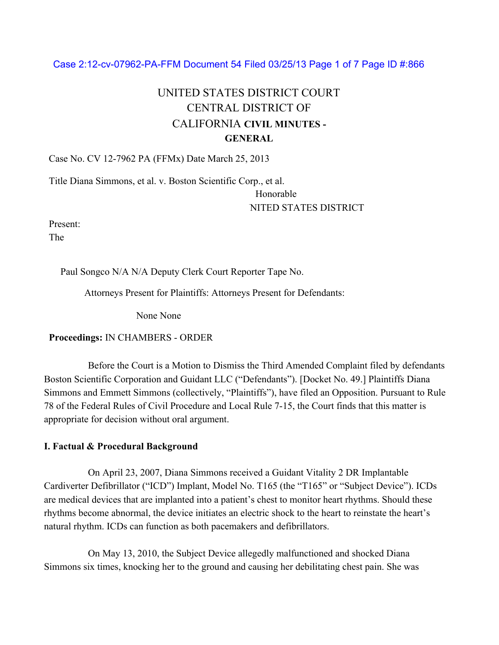### Case 2:12-cv-07962-PA-FFM Document 54 Filed 03/25/13 Page 1 of 7 Page ID #:866

# UNITED STATES DISTRICT COURT CENTRAL DISTRICT OF CALIFORNIA **CIVIL MINUTES - GENERAL**

Case No. CV 12-7962 PA (FFMx) Date March 25, 2013

Title Diana Simmons, et al. v. Boston Scientific Corp., et al.

Honorable NITED STATES DISTRICT

Present:

The

Paul Songco N/A N/A Deputy Clerk Court Reporter Tape No.

Attorneys Present for Plaintiffs: Attorneys Present for Defendants:

None None

### **Proceedings:** IN CHAMBERS - ORDER

Before the Court is a Motion to Dismiss the Third Amended Complaint filed by defendants Boston Scientific Corporation and Guidant LLC ("Defendants"). [Docket No. 49.] Plaintiffs Diana Simmons and Emmett Simmons (collectively, "Plaintiffs"), have filed an Opposition. Pursuant to Rule 78 of the Federal Rules of Civil Procedure and Local Rule 7-15, the Court finds that this matter is appropriate for decision without oral argument.

### **I. Factual & Procedural Background**

On April 23, 2007, Diana Simmons received a Guidant Vitality 2 DR Implantable Cardiverter Defibrillator ("ICD") Implant, Model No. T165 (the "T165" or "Subject Device"). ICDs are medical devices that are implanted into a patient's chest to monitor heart rhythms. Should these rhythms become abnormal, the device initiates an electric shock to the heart to reinstate the heart's natural rhythm. ICDs can function as both pacemakers and defibrillators.

On May 13, 2010, the Subject Device allegedly malfunctioned and shocked Diana Simmons six times, knocking her to the ground and causing her debilitating chest pain. She was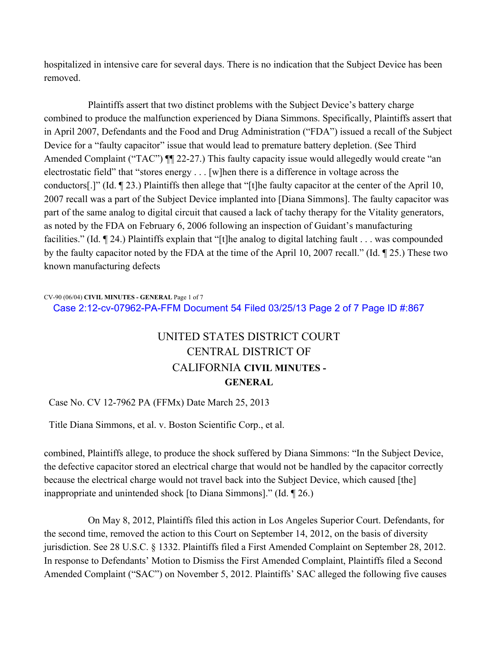hospitalized in intensive care for several days. There is no indication that the Subject Device has been removed.

Plaintiffs assert that two distinct problems with the Subject Device's battery charge combined to produce the malfunction experienced by Diana Simmons. Specifically, Plaintiffs assert that in April 2007, Defendants and the Food and Drug Administration ("FDA") issued a recall of the Subject Device for a "faulty capacitor" issue that would lead to premature battery depletion. (See Third Amended Complaint ("TAC")  $\P$  22-27.) This faulty capacity issue would allegedly would create "an electrostatic field" that "stores energy . . . [w]hen there is a difference in voltage across the conductors[.]" (Id. ¶ 23.) Plaintiffs then allege that "[t]he faulty capacitor at the center of the April 10, 2007 recall was a part of the Subject Device implanted into [Diana Simmons]. The faulty capacitor was part of the same analog to digital circuit that caused a lack of tachy therapy for the Vitality generators, as noted by the FDA on February 6, 2006 following an inspection of Guidant's manufacturing facilities." (Id. ¶ 24.) Plaintiffs explain that "[t]he analog to digital latching fault . . . was compounded by the faulty capacitor noted by the FDA at the time of the April 10, 2007 recall." (Id. ¶ 25.) These two known manufacturing defects

#### CV-90 (06/04) **CIVIL MINUTES - GENERAL** Page 1 of 7 Case 2:12-cv-07962-PA-FFM Document 54 Filed 03/25/13 Page 2 of 7 Page ID #:867

## UNITED STATES DISTRICT COURT CENTRAL DISTRICT OF CALIFORNIA **CIVIL MINUTES - GENERAL**

### Case No. CV 12-7962 PA (FFMx) Date March 25, 2013

Title Diana Simmons, et al. v. Boston Scientific Corp., et al.

combined, Plaintiffs allege, to produce the shock suffered by Diana Simmons: "In the Subject Device, the defective capacitor stored an electrical charge that would not be handled by the capacitor correctly because the electrical charge would not travel back into the Subject Device, which caused [the] inappropriate and unintended shock [to Diana Simmons]." (Id. ¶ 26.)

On May 8, 2012, Plaintiffs filed this action in Los Angeles Superior Court. Defendants, for the second time, removed the action to this Court on September 14, 2012, on the basis of diversity jurisdiction. See 28 U.S.C. § 1332. Plaintiffs filed a First Amended Complaint on September 28, 2012. In response to Defendants' Motion to Dismiss the First Amended Complaint, Plaintiffs filed a Second Amended Complaint ("SAC") on November 5, 2012. Plaintiffs' SAC alleged the following five causes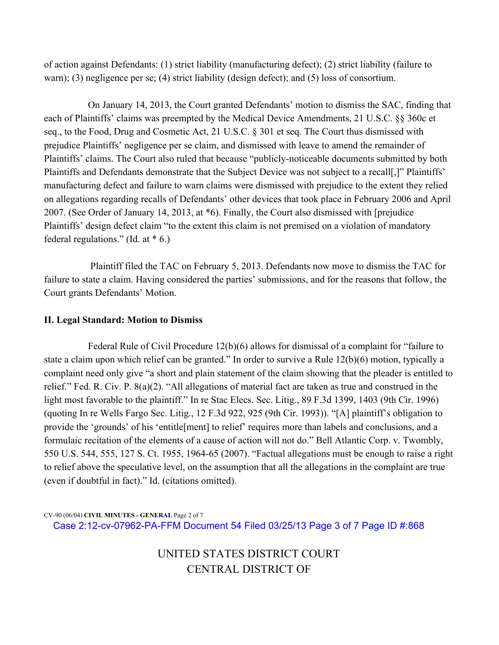of action against Defendants: (1) strict liability (manufacturing defect); (2) strict liability (failure to warn); (3) negligence per se; (4) strict liability (design defect); and (5) loss of consortium.

On January 14, 2013, the Court granted Defendants' motion to dismiss the SAC, finding that each of Plaintiffs' claims was preempted by the Medical Device Amendments, 21 U.S.C. §§ 360c et seq., to the Food, Drug and Cosmetic Act, 21 U.S.C. § 301 et seq. The Court thus dismissed with prejudice Plaintiffs' negligence per se claim, and dismissed with leave to amend the remainder of Plaintiffs' claims. The Court also ruled that because "publicly-noticeable documents submitted by both Plaintiffs and Defendants demonstrate that the Subject Device was not subject to a recall[,]" Plaintiffs' manufacturing defect and failure to warn claims were dismissed with prejudice to the extent they relied on allegations regarding recalls of Defendants' other devices that took place in February 2006 and April 2007. (See Order of January 14, 2013, at \*6). Finally, the Court also dismissed with [prejudice Plaintiffs' design defect claim "to the extent this claim is not premised on a violation of mandatory federal regulations." (Id. at  $*$  6.)

Plaintiff filed the TAC on February 5, 2013. Defendants now move to dismiss the TAC for failure to state a claim. Having considered the parties' submissions, and for the reasons that follow, the Court grants Defendants' Motion.

#### **II. Legal Standard: Motion to Dismiss**

Federal Rule of Civil Procedure 12(b)(6) allows for dismissal of a complaint for "failure to state a claim upon which relief can be granted." In order to survive a Rule 12(b)(6) motion, typically a complaint need only give "a short and plain statement of the claim showing that the pleader is entitled to relief." Fed. R. Civ. P. 8(a)(2). "All allegations of material fact are taken as true and construed in the light most favorable to the plaintiff." In re Stac Elecs. Sec. Litig., 89 F.3d 1399, 1403 (9th Cir. 1996) (quoting In re Wells Fargo Sec. Litig., 12 F.3d 922, 925 (9th Cir. 1993)). "[A] plaintiff's obligation to provide the 'grounds' of his 'entitle[ment] to relief' requires more than labels and conclusions, and a formulaic recitation of the elements of a cause of action will not do." Bell Atlantic Corp. v. Twombly, 550 U.S. 544, 555, 127 S. Ct. 1955, 1964-65 (2007). "Factual allegations must be enough to raise a right to relief above the speculative level, on the assumption that all the allegations in the complaint are true (even if doubtful in fact)." Id. (citations omitted).

CV-90 (06/04) **CIVIL MINUTES - GENERAL** Page 2 of 7 Case 2:12-cv-07962-PA-FFM Document 54 Filed 03/25/13 Page 3 of 7 Page ID #:868

> UNITED STATES DISTRICT COURT CENTRAL DISTRICT OF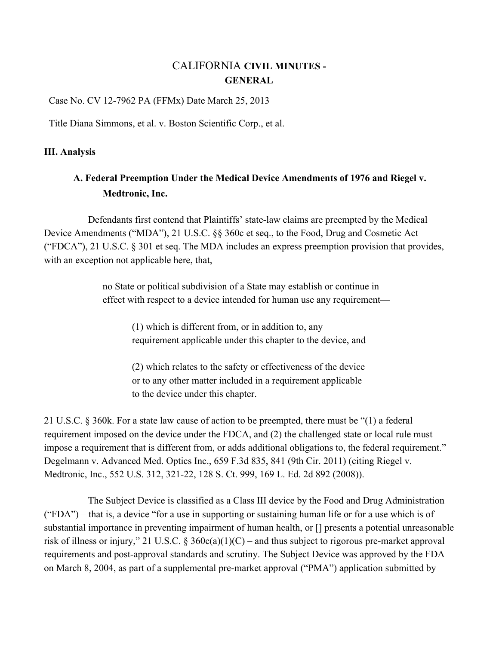## CALIFORNIA **CIVIL MINUTES - GENERAL**

Case No. CV 12-7962 PA (FFMx) Date March 25, 2013

Title Diana Simmons, et al. v. Boston Scientific Corp., et al.

#### **III. Analysis**

## **A. Federal Preemption Under the Medical Device Amendments of 1976 and Riegel v. Medtronic, Inc.**

Defendants first contend that Plaintiffs' state-law claims are preempted by the Medical Device Amendments ("MDA"), 21 U.S.C. §§ 360c et seq., to the Food, Drug and Cosmetic Act ("FDCA"), 21 U.S.C. § 301 et seq. The MDA includes an express preemption provision that provides, with an exception not applicable here, that,

> no State or political subdivision of a State may establish or continue in effect with respect to a device intended for human use any requirement—

(1) which is different from, or in addition to, any requirement applicable under this chapter to the device, and

(2) which relates to the safety or effectiveness of the device or to any other matter included in a requirement applicable to the device under this chapter.

21 U.S.C. § 360k. For a state law cause of action to be preempted, there must be "(1) a federal requirement imposed on the device under the FDCA, and (2) the challenged state or local rule must impose a requirement that is different from, or adds additional obligations to, the federal requirement." Degelmann v. Advanced Med. Optics Inc., 659 F.3d 835, 841 (9th Cir. 2011) (citing Riegel v. Medtronic, Inc., 552 U.S. 312, 321-22, 128 S. Ct. 999, 169 L. Ed. 2d 892 (2008)).

The Subject Device is classified as a Class III device by the Food and Drug Administration ("FDA") – that is, a device "for a use in supporting or sustaining human life or for a use which is of substantial importance in preventing impairment of human health, or [] presents a potential unreasonable risk of illness or injury," 21 U.S.C. § 360 $c(a)(1)(C)$  – and thus subject to rigorous pre-market approval requirements and post-approval standards and scrutiny. The Subject Device was approved by the FDA on March 8, 2004, as part of a supplemental pre-market approval ("PMA") application submitted by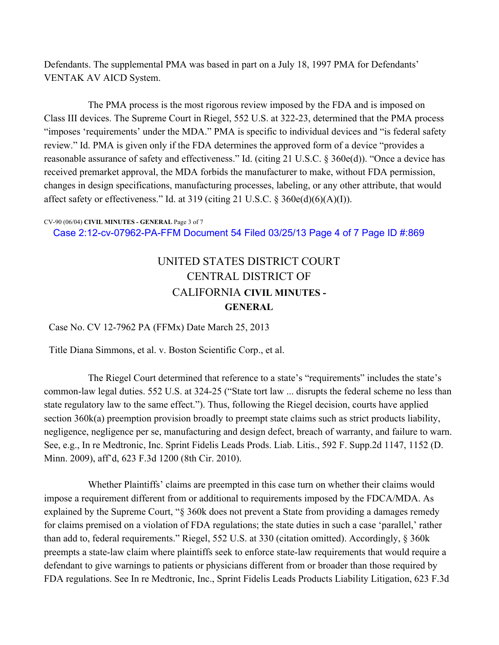Defendants. The supplemental PMA was based in part on a July 18, 1997 PMA for Defendants' VENTAK AV AICD System.

The PMA process is the most rigorous review imposed by the FDA and is imposed on Class III devices. The Supreme Court in Riegel, 552 U.S. at 322-23, determined that the PMA process "imposes 'requirements' under the MDA." PMA is specific to individual devices and "is federal safety review." Id. PMA is given only if the FDA determines the approved form of a device "provides a reasonable assurance of safety and effectiveness." Id. (citing 21 U.S.C. § 360e(d)). "Once a device has received premarket approval, the MDA forbids the manufacturer to make, without FDA permission, changes in design specifications, manufacturing processes, labeling, or any other attribute, that would affect safety or effectiveness." Id. at 319 (citing 21 U.S.C.  $\S$  360e(d)(6)(A)(I)).

#### CV-90 (06/04) **CIVIL MINUTES - GENERAL** Page 3 of 7

Case 2:12-cv-07962-PA-FFM Document 54 Filed 03/25/13 Page 4 of 7 Page ID #:869

## UNITED STATES DISTRICT COURT CENTRAL DISTRICT OF CALIFORNIA **CIVIL MINUTES - GENERAL**

Case No. CV 12-7962 PA (FFMx) Date March 25, 2013

Title Diana Simmons, et al. v. Boston Scientific Corp., et al.

The Riegel Court determined that reference to a state's "requirements" includes the state's common-law legal duties. 552 U.S. at 324-25 ("State tort law ... disrupts the federal scheme no less than state regulatory law to the same effect."). Thus, following the Riegel decision, courts have applied section 360k(a) preemption provision broadly to preempt state claims such as strict products liability, negligence, negligence per se, manufacturing and design defect, breach of warranty, and failure to warn. See, e.g., In re Medtronic, Inc. Sprint Fidelis Leads Prods. Liab. Litis., 592 F. Supp.2d 1147, 1152 (D. Minn. 2009), aff'd, 623 F.3d 1200 (8th Cir. 2010).

Whether Plaintiffs' claims are preempted in this case turn on whether their claims would impose a requirement different from or additional to requirements imposed by the FDCA/MDA. As explained by the Supreme Court, "§ 360k does not prevent a State from providing a damages remedy for claims premised on a violation of FDA regulations; the state duties in such a case 'parallel,' rather than add to, federal requirements." Riegel, 552 U.S. at 330 (citation omitted). Accordingly, § 360k preempts a state-law claim where plaintiffs seek to enforce state-law requirements that would require a defendant to give warnings to patients or physicians different from or broader than those required by FDA regulations. See In re Medtronic, Inc., Sprint Fidelis Leads Products Liability Litigation, 623 F.3d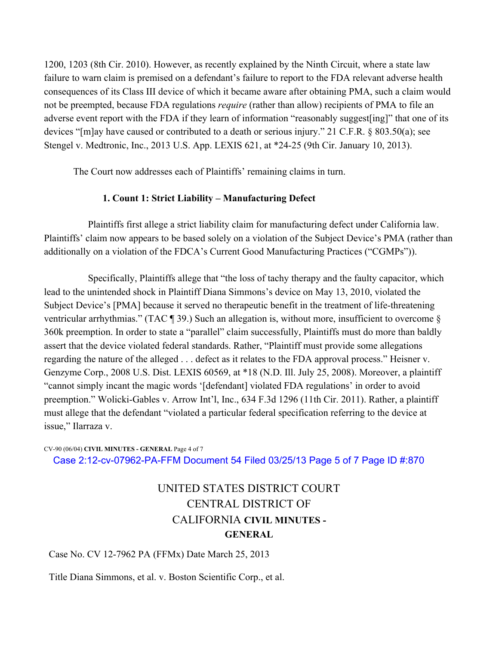1200, 1203 (8th Cir. 2010). However, as recently explained by the Ninth Circuit, where a state law failure to warn claim is premised on a defendant's failure to report to the FDA relevant adverse health consequences of its Class III device of which it became aware after obtaining PMA, such a claim would not be preempted, because FDA regulations *require* (rather than allow) recipients of PMA to file an adverse event report with the FDA if they learn of information "reasonably suggest[ing]" that one of its devices "[m]ay have caused or contributed to a death or serious injury." 21 C.F.R. § 803.50(a); see Stengel v. Medtronic, Inc., 2013 U.S. App. LEXIS 621, at \*24-25 (9th Cir. January 10, 2013).

The Court now addresses each of Plaintiffs' remaining claims in turn.

### **1. Count 1: Strict Liability – Manufacturing Defect**

Plaintiffs first allege a strict liability claim for manufacturing defect under California law. Plaintiffs' claim now appears to be based solely on a violation of the Subject Device's PMA (rather than additionally on a violation of the FDCA's Current Good Manufacturing Practices ("CGMPs")).

Specifically, Plaintiffs allege that "the loss of tachy therapy and the faulty capacitor, which lead to the unintended shock in Plaintiff Diana Simmons's device on May 13, 2010, violated the Subject Device's [PMA] because it served no therapeutic benefit in the treatment of life-threatening ventricular arrhythmias." (TAC ¶ 39.) Such an allegation is, without more, insufficient to overcome § 360k preemption. In order to state a "parallel" claim successfully, Plaintiffs must do more than baldly assert that the device violated federal standards. Rather, "Plaintiff must provide some allegations regarding the nature of the alleged . . . defect as it relates to the FDA approval process." Heisner v. Genzyme Corp., 2008 U.S. Dist. LEXIS 60569, at \*18 (N.D. Ill. July 25, 2008). Moreover, a plaintiff "cannot simply incant the magic words '[defendant] violated FDA regulations' in order to avoid preemption." Wolicki-Gables v. Arrow Int'l, Inc., 634 F.3d 1296 (11th Cir. 2011). Rather, a plaintiff must allege that the defendant "violated a particular federal specification referring to the device at issue," Ilarraza v.

#### CV-90 (06/04) **CIVIL MINUTES - GENERAL** Page 4 of 7 Case 2:12-cv-07962-PA-FFM Document 54 Filed 03/25/13 Page 5 of 7 Page ID #:870

## UNITED STATES DISTRICT COURT CENTRAL DISTRICT OF CALIFORNIA **CIVIL MINUTES - GENERAL**

### Case No. CV 12-7962 PA (FFMx) Date March 25, 2013

Title Diana Simmons, et al. v. Boston Scientific Corp., et al.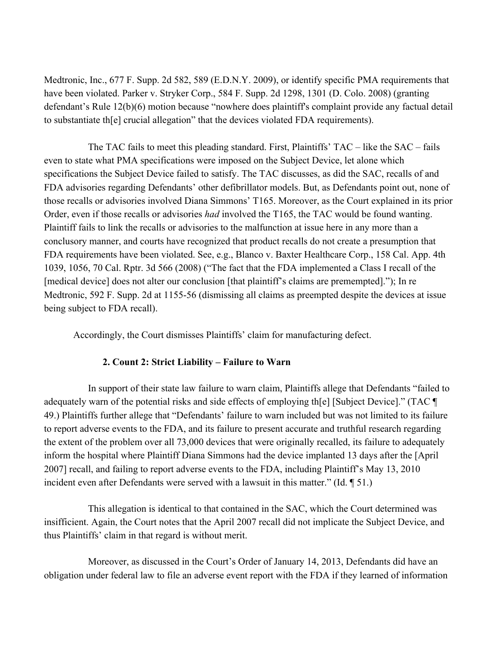Medtronic, Inc., 677 F. Supp. 2d 582, 589 (E.D.N.Y. 2009), or identify specific PMA requirements that have been violated. Parker v. Stryker Corp., 584 F. Supp. 2d 1298, 1301 (D. Colo. 2008) (granting defendant's Rule 12(b)(6) motion because "nowhere does plaintiff's complaint provide any factual detail to substantiate th[e] crucial allegation" that the devices violated FDA requirements).

The TAC fails to meet this pleading standard. First, Plaintiffs' TAC – like the SAC – fails even to state what PMA specifications were imposed on the Subject Device, let alone which specifications the Subject Device failed to satisfy. The TAC discusses, as did the SAC, recalls of and FDA advisories regarding Defendants' other defibrillator models. But, as Defendants point out, none of those recalls or advisories involved Diana Simmons' T165. Moreover, as the Court explained in its prior Order, even if those recalls or advisories *had* involved the T165, the TAC would be found wanting. Plaintiff fails to link the recalls or advisories to the malfunction at issue here in any more than a conclusory manner, and courts have recognized that product recalls do not create a presumption that FDA requirements have been violated. See, e.g., Blanco v. Baxter Healthcare Corp., 158 Cal. App. 4th 1039, 1056, 70 Cal. Rptr. 3d 566 (2008) ("The fact that the FDA implemented a Class I recall of the [medical device] does not alter our conclusion [that plaintiff's claims are premempted]."); In re Medtronic, 592 F. Supp. 2d at 1155-56 (dismissing all claims as preempted despite the devices at issue being subject to FDA recall).

Accordingly, the Court dismisses Plaintiffs' claim for manufacturing defect.

### **2. Count 2: Strict Liability – Failure to Warn**

In support of their state law failure to warn claim, Plaintiffs allege that Defendants "failed to adequately warn of the potential risks and side effects of employing th[e] [Subject Device]." (TAC ¶ 49.) Plaintiffs further allege that "Defendants' failure to warn included but was not limited to its failure to report adverse events to the FDA, and its failure to present accurate and truthful research regarding the extent of the problem over all 73,000 devices that were originally recalled, its failure to adequately inform the hospital where Plaintiff Diana Simmons had the device implanted 13 days after the [April 2007] recall, and failing to report adverse events to the FDA, including Plaintiff's May 13, 2010 incident even after Defendants were served with a lawsuit in this matter." (Id. ¶ 51.)

This allegation is identical to that contained in the SAC, which the Court determined was insifficient. Again, the Court notes that the April 2007 recall did not implicate the Subject Device, and thus Plaintiffs' claim in that regard is without merit.

Moreover, as discussed in the Court's Order of January 14, 2013, Defendants did have an obligation under federal law to file an adverse event report with the FDA if they learned of information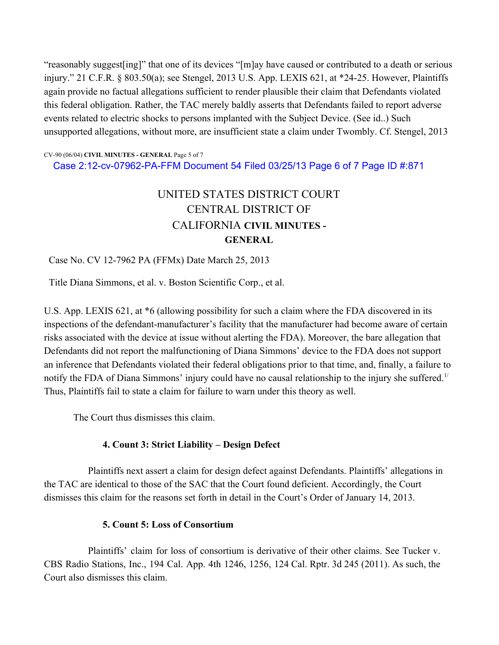"reasonably suggest[ing]" that one of its devices "[m]ay have caused or contributed to a death or serious injury." 21 C.F.R. § 803.50(a); see Stengel, 2013 U.S. App. LEXIS 621, at \*24-25. However, Plaintiffs again provide no factual allegations sufficient to render plausible their claim that Defendants violated this federal obligation. Rather, the TAC merely baldly asserts that Defendants failed to report adverse events related to electric shocks to persons implanted with the Subject Device. (See id..) Such unsupported allegations, without more, are insufficient state a claim under Twombly. Cf. Stengel, 2013

CV-90 (06/04) **CIVIL MINUTES - GENERAL** Page 5 of 7 Case 2:12-cv-07962-PA-FFM Document 54 Filed 03/25/13 Page 6 of 7 Page ID #:871

# UNITED STATES DISTRICT COURT CENTRAL DISTRICT OF CALIFORNIA **CIVIL MINUTES - GENERAL**

### Case No. CV 12-7962 PA (FFMx) Date March 25, 2013

Title Diana Simmons, et al. v. Boston Scientific Corp., et al.

U.S. App. LEXIS 621, at \*6 (allowing possibility for such a claim where the FDA discovered in its inspections of the defendant-manufacturer's facility that the manufacturer had become aware of certain risks associated with the device at issue without alerting the FDA). Moreover, the bare allegation that Defendants did not report the malfunctioning of Diana Simmons' device to the FDA does not support an inference that Defendants violated their federal obligations prior to that time, and, finally, a failure to notify the FDA of Diana Simmons' injury could have no causal relationship to the injury she suffered.<sup>1/</sup> Thus, Plaintiffs fail to state a claim for failure to warn under this theory as well.

The Court thus dismisses this claim.

### **4. Count 3: Strict Liability – Design Defect**

Plaintiffs next assert a claim for design defect against Defendants. Plaintiffs' allegations in the TAC are identical to those of the SAC that the Court found deficient. Accordingly, the Court dismisses this claim for the reasons set forth in detail in the Court's Order of January 14, 2013.

### **5. Count 5: Loss of Consortium**

Plaintiffs' claim for loss of consortium is derivative of their other claims. See Tucker v. CBS Radio Stations, Inc., 194 Cal. App. 4th 1246, 1256, 124 Cal. Rptr. 3d 245 (2011). As such, the Court also dismisses this claim.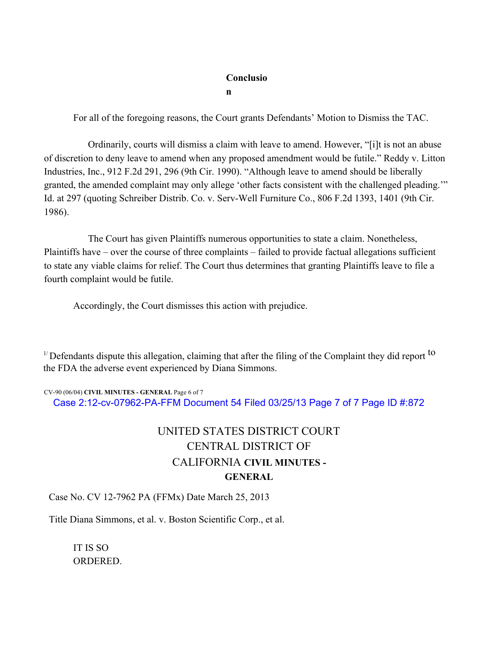#### **Conclusio**

**n**

For all of the foregoing reasons, the Court grants Defendants' Motion to Dismiss the TAC.

Ordinarily, courts will dismiss a claim with leave to amend. However, "[i]t is not an abuse of discretion to deny leave to amend when any proposed amendment would be futile." Reddy v. Litton Industries, Inc., 912 F.2d 291, 296 (9th Cir. 1990). "Although leave to amend should be liberally granted, the amended complaint may only allege 'other facts consistent with the challenged pleading.'" Id. at 297 (quoting Schreiber Distrib. Co. v. Serv-Well Furniture Co., 806 F.2d 1393, 1401 (9th Cir. 1986).

The Court has given Plaintiffs numerous opportunities to state a claim. Nonetheless, Plaintiffs have – over the course of three complaints – failed to provide factual allegations sufficient to state any viable claims for relief. The Court thus determines that granting Plaintiffs leave to file a fourth complaint would be futile.

Accordingly, the Court dismisses this action with prejudice.

<sup>1/</sup> Defendants dispute this allegation, claiming that after the filing of the Complaint they did report <sup>to</sup> the FDA the adverse event experienced by Diana Simmons.

#### CV-90 (06/04) **CIVIL MINUTES - GENERAL** Page 6 of 7

Case 2:12-cv-07962-PA-FFM Document 54 Filed 03/25/13 Page 7 of 7 Page ID #:872

## UNITED STATES DISTRICT COURT CENTRAL DISTRICT OF CALIFORNIA **CIVIL MINUTES - GENERAL**

Case No. CV 12-7962 PA (FFMx) Date March 25, 2013

Title Diana Simmons, et al. v. Boston Scientific Corp., et al.

IT IS SO ORDERED.